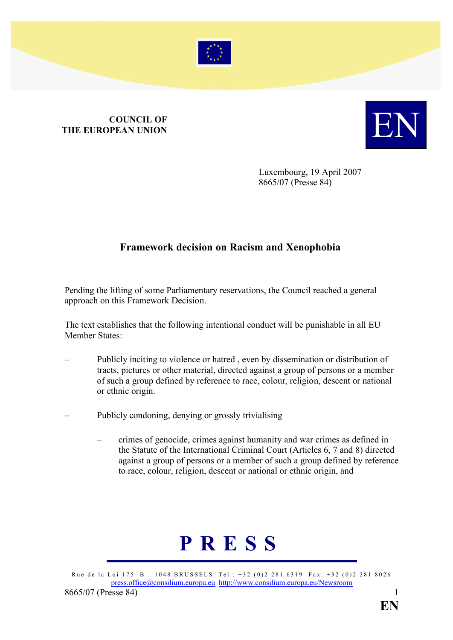

## **COUNCIL OF<br>THE EUROPEAN UNION THE EUROPEAN UNION**



Luxembourg, 19 April 2007 8665/07 (Presse 84)

## **Framework decision on Racism and Xenophobia**

Pending the lifting of some Parliamentary reservations, the Council reached a general approach on this Framework Decision.

The text establishes that the following intentional conduct will be punishable in all EU Member States:

- Publicly inciting to violence or hatred , even by dissemination or distribution of tracts, pictures or other material, directed against a group of persons or a member of such a group defined by reference to race, colour, religion, descent or national or ethnic origin.
- Publicly condoning, denying or grossly trivialising
	- crimes of genocide, crimes against humanity and war crimes as defined in the Statute of the International Criminal Court (Articles 6, 7 and 8) directed against a group of persons or a member of such a group defined by reference to race, colour, religion, descent or national or ethnic origin, and

## **PRESS**

Rue de la Loi 175 B – 1048 BRUSSELS Tel.: +32 (0)2 281 6319 Fax: +32 (0)2 281 8026 press.office@consilium.europa.eu http://www.consilium.europa.eu/Newsroom 8665/07 (Presse 84) 1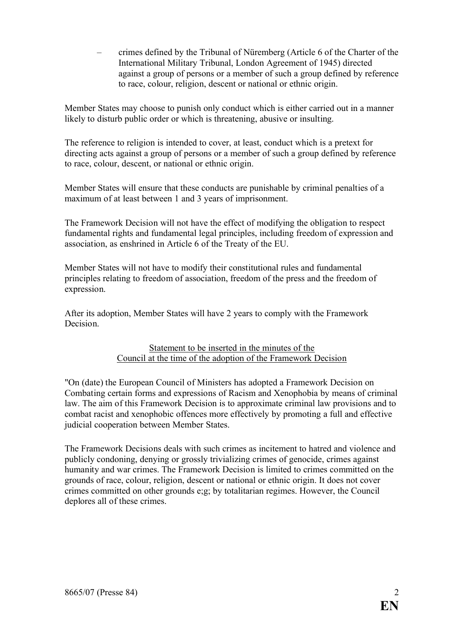– crimes defined by the Tribunal of Nüremberg (Article 6 of the Charter of the International Military Tribunal, London Agreement of 1945) directed against a group of persons or a member of such a group defined by reference to race, colour, religion, descent or national or ethnic origin.

Member States may choose to punish only conduct which is either carried out in a manner likely to disturb public order or which is threatening, abusive or insulting.

The reference to religion is intended to cover, at least, conduct which is a pretext for directing acts against a group of persons or a member of such a group defined by reference to race, colour, descent, or national or ethnic origin.

Member States will ensure that these conducts are punishable by criminal penalties of a maximum of at least between 1 and 3 years of imprisonment.

The Framework Decision will not have the effect of modifying the obligation to respect fundamental rights and fundamental legal principles, including freedom of expression and association, as enshrined in Article 6 of the Treaty of the EU.

Member States will not have to modify their constitutional rules and fundamental principles relating to freedom of association, freedom of the press and the freedom of expression.

After its adoption, Member States will have 2 years to comply with the Framework Decision.

## Statement to be inserted in the minutes of the Council at the time of the adoption of the Framework Decision

"On (date) the European Council of Ministers has adopted a Framework Decision on Combating certain forms and expressions of Racism and Xenophobia by means of criminal law. The aim of this Framework Decision is to approximate criminal law provisions and to combat racist and xenophobic offences more effectively by promoting a full and effective judicial cooperation between Member States.

The Framework Decisions deals with such crimes as incitement to hatred and violence and publicly condoning, denying or grossly trivializing crimes of genocide, crimes against humanity and war crimes. The Framework Decision is limited to crimes committed on the grounds of race, colour, religion, descent or national or ethnic origin. It does not cover crimes committed on other grounds e;g; by totalitarian regimes. However, the Council deplores all of these crimes.